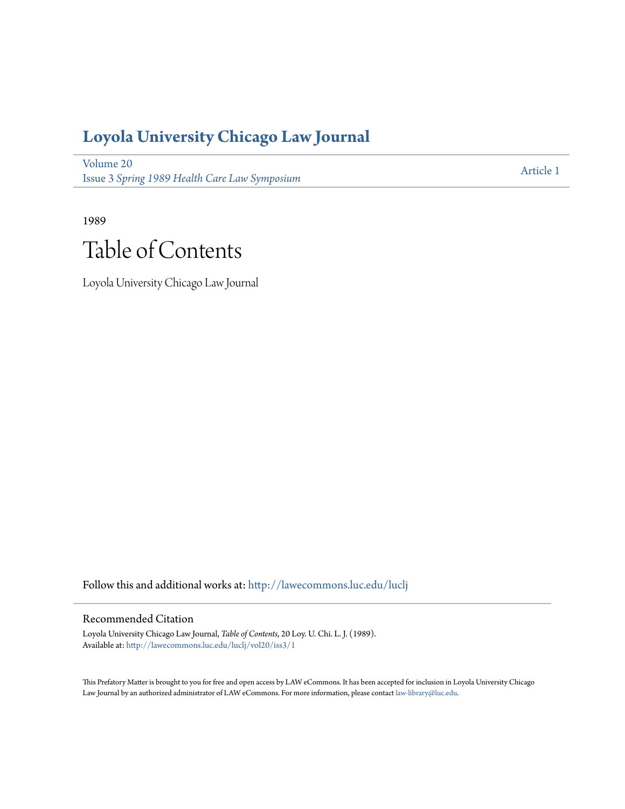## **[Loyola University Chicago Law Journal](http://lawecommons.luc.edu/luclj?utm_source=lawecommons.luc.edu%2Fluclj%2Fvol20%2Fiss3%2F1&utm_medium=PDF&utm_campaign=PDFCoverPages)**

[Volume 20](http://lawecommons.luc.edu/luclj/vol20?utm_source=lawecommons.luc.edu%2Fluclj%2Fvol20%2Fiss3%2F1&utm_medium=PDF&utm_campaign=PDFCoverPages) Issue 3 *[Spring 1989 Health Care Law Symposium](http://lawecommons.luc.edu/luclj/vol20/iss3?utm_source=lawecommons.luc.edu%2Fluclj%2Fvol20%2Fiss3%2F1&utm_medium=PDF&utm_campaign=PDFCoverPages)*

[Article 1](http://lawecommons.luc.edu/luclj/vol20/iss3/1?utm_source=lawecommons.luc.edu%2Fluclj%2Fvol20%2Fiss3%2F1&utm_medium=PDF&utm_campaign=PDFCoverPages)

1989 Table of Contents

Loyola University Chicago Law Journal

Follow this and additional works at: [http://lawecommons.luc.edu/luclj](http://lawecommons.luc.edu/luclj?utm_source=lawecommons.luc.edu%2Fluclj%2Fvol20%2Fiss3%2F1&utm_medium=PDF&utm_campaign=PDFCoverPages)

#### Recommended Citation

Loyola University Chicago Law Journal, *Table of Contents*, 20 Loy. U. Chi. L. J. (1989). Available at: [http://lawecommons.luc.edu/luclj/vol20/iss3/1](http://lawecommons.luc.edu/luclj/vol20/iss3/1?utm_source=lawecommons.luc.edu%2Fluclj%2Fvol20%2Fiss3%2F1&utm_medium=PDF&utm_campaign=PDFCoverPages)

This Prefatory Matter is brought to you for free and open access by LAW eCommons. It has been accepted for inclusion in Loyola University Chicago Law Journal by an authorized administrator of LAW eCommons. For more information, please contact [law-library@luc.edu.](mailto:law-library@luc.edu)